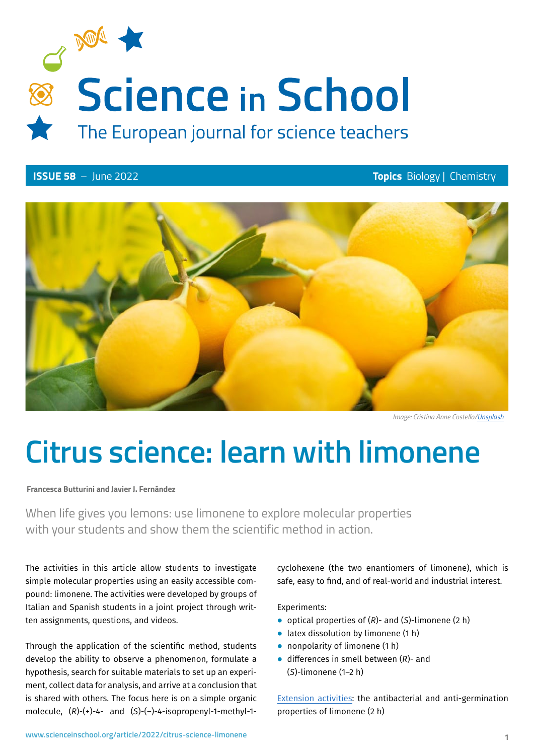

**ISSUE 58** – June 2022 **Topics** Biology | Chemistry



*Image: Cristina Anne Costello[/Unsplash](https://unsplash.com/photos/MvCde9kgov8)*

# **Citrus science: learn with limonene**

**Francesca Butturini and Javier J. Fernández**

When life gives you lemons: use limonene to explore molecular properties with your students and show them the scientific method in action.

The activities in this article allow students to investigate simple molecular properties using an easily accessible compound: limonene. The activities were developed by groups of Italian and Spanish students in a joint project through written assignments, questions, and videos.

Through the application of the scientific method, students develop the ability to observe a phenomenon, formulate a hypothesis, search for suitable materials to set up an experiment, collect data for analysis, and arrive at a conclusion that is shared with others. The focus here is on a simple organic molecule, (*R*)-(+)-4- and (*S*)-(–)-4-isopropenyl-1-methyl-1cyclohexene (the two enantiomers of limonene), which is safe, easy to find, and of real-world and industrial interest.

Experiments:

- ⦁ optical properties of (*R*)- and (*S*)-limonene (2 h)
- ⦁ latex dissolution by limonene (1 h)
- nonpolarity of limonene (1 h)
- ⦁ differences in smell between (*R*)- and (*S*)-limonene (1–2 h)

[Extension activities:](http://www.scienceinschool.org/wp-content/uploads/2022/05/Limonene_ExtensionActivities.pdf) the antibacterial and anti-germination properties of limonene (2 h)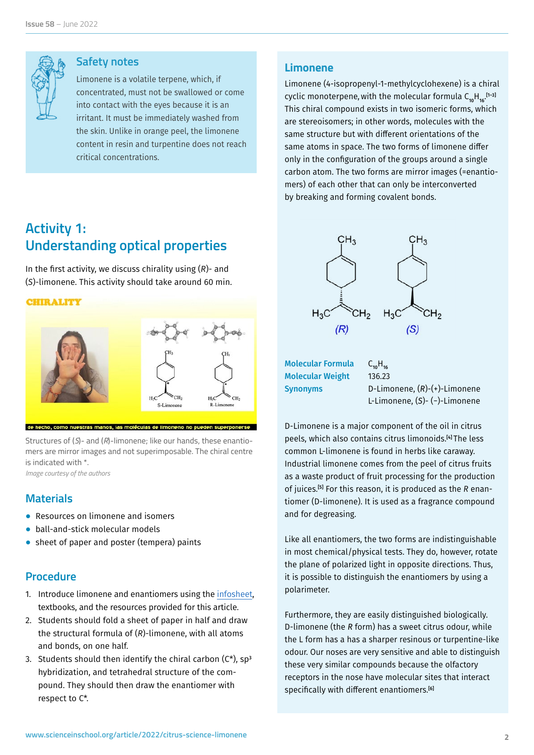

#### **Safety notes**

Limonene is a volatile terpene, which, if concentrated, must not be swallowed or come into contact with the eyes because it is an irritant. It must be immediately washed from the skin. Unlike in orange peel, the limonene content in resin and turpentine does not reach critical concentrations.

# **Activity 1: Understanding optical properties**

In the first activity, we discuss chirality using (*R*)- and (*S*)-limonene. This activity should take around 60 min.

**CHIRALITY** 



Structures of (*S*)- and (*R*)-limonene; like our hands, these enantiomers are mirror images and not superimposable. The chiral centre is indicated with \*.

*Image courtesy of the authors*

#### **Materials**

- Resources on limonene and isomers
- ball-and-stick molecular models
- ⦁ sheet of paper and poster (tempera) paints

#### **Procedure**

- 1. Introduce limonene and enantiomers using the [infosheet](http://www.scienceinschool.org/wp-content/uploads/2022/05/Limonene_infosheet.pdf), textbooks, and the resources provided for this article.
- 2. Students should fold a sheet of paper in half and draw the structural formula of (*R*)-limonene, with all atoms and bonds, on one half.
- 3. Students should then identify the chiral carbon  $(C^*)$ , sp<sup>3</sup> hybridization, and tetrahedral structure of the compound. They should then draw the enantiomer with respect to C\*.

#### **Limonene**

Limonene (4-isopropenyl-1-methylcyclohexene) is a chiral cyclic monoterpene, with the molecular formula  $\mathsf{C}_{\mathsf{10} \mathsf{H}_{\mathsf{16}}}.^{\mathsf{[1-3]}}$ This chiral compound exists in two isomeric forms, which are stereoisomers; in other words, molecules with the same structure but with different orientations of the same atoms in space. The two forms of limonene differ only in the configuration of the groups around a single carbon atom. The two forms are mirror images (=enantiomers) of each other that can only be interconverted by breaking and forming covalent bonds.



Molecular Formula  $C_{10}H_{16}$ Molecular Weight 136.23

Synonyms D-Limonene, (*R*)-(+)-Limonene L-Limonene, (*S*)- (−)-Limonene

D[-Limonene](https://pubchem.ncbi.nlm.nih.gov/compound/Limonene) is a major component of the oil in citrus peels, which also contains citrus limonoids.[4] The less common L-limonene is found in herbs like caraway. Industrial limonene comes from the peel of citrus fruits as a waste product of fruit processing for the production of juices.[5] For this reason, it is produced as the *R* enantiomer (D[-limonene](https://pubchem.ncbi.nlm.nih.gov/compound/Limonene)). It is used as a fragrance compound and for degreasing.

Like all enantiomers, the two forms are indistinguishable in most chemical/physical tests. They do, however, rotate the plane of polarized light in opposite directions. Thus, it is possible to distinguish the enantiomers by using a polarimeter.

Furthermore, they are easily distinguished biologically. D-limonene (the *R* form) has a sweet citrus odour, while the L form has a has a sharper resinous or turpentine-like odour. Our noses are very sensitive and able to distinguish these very similar compounds because the olfactory receptors in the nose have molecular sites that interact specifically with different enantiomers.<sup>[6]</sup>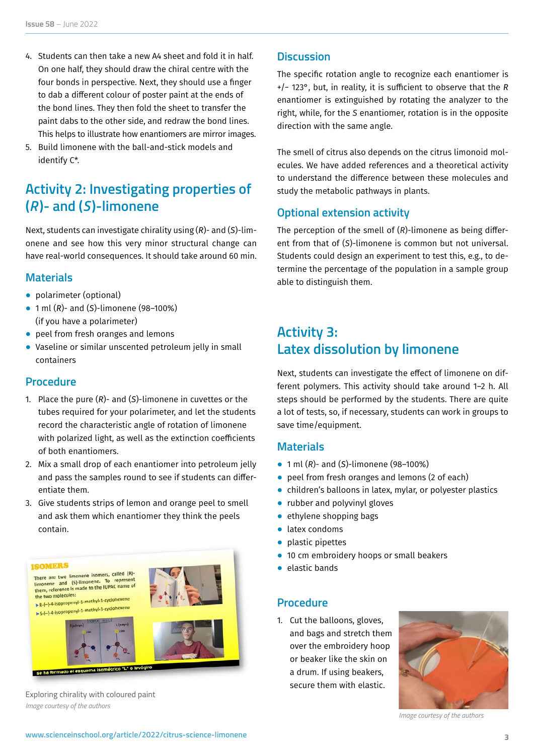- 4. Students can then take a new A4 sheet and fold it in half. On one half, they should draw the chiral centre with the four bonds in perspective. Next, they should use a finger to dab a different colour of poster paint at the ends of the bond lines. They then fold the sheet to transfer the paint dabs to the other side, and redraw the bond lines. This helps to illustrate how enantiomers are mirror images.
- 5. Build limonene with the ball-and-stick models and identify C\*.

# **Activity 2: Investigating properties of (***R***)- and (***S* **)-limonene**

Next, students can investigate chirality using (*R*)- and (*S*)-limonene and see how this very minor structural change can have real-world consequences. It should take around 60 min.

#### **Materials**

- polarimeter (optional)
- ⦁ 1 ml (*R*)- and (*S*)-limonene (98–100%) (if you have a polarimeter)
- peel from fresh oranges and lemons
- ⦁ Vaseline or similar unscented petroleum jelly in small containers

#### **Procedure**

- 1. Place the pure (*R*)- and (*S*)-limonene in cuvettes or the tubes required for your polarimeter, and let the students record the characteristic angle of rotation of limonene with polarized light, as well as the extinction coefficients of both enantiomers.
- 2. Mix a small drop of each enantiomer into petroleum jelly and pass the samples round to see if students can differentiate them.
- 3. Give students strips of lemon and orange peel to smell and ask them which enantiomer they think the peels contain.



Exploring chirality with coloured paint *Image courtesy of the authors*

#### **Discussion**

The specific rotation angle to recognize each enantiomer is +/− 123°, but, in reality, it is sufficient to observe that the *R* enantiomer is extinguished by rotating the analyzer to the right, while, for the *S* enantiomer, rotation is in the opposite direction with the same angle.

The smell of citrus also depends on the citrus limonoid molecules. We have added references and a theoretical activity to understand the difference between these molecules and study the metabolic pathways in plants.

#### **Optional extension activity**

The perception of the smell of (*R*)-limonene as being different from that of (*S*)-limonene is common but not universal. Students could design an experiment to test this, e.g., to determine the percentage of the population in a sample group able to distinguish them.

# **Activity 3: Latex dissolution by limonene**

Next, students can investigate the effect of limonene on different polymers. This activity should take around 1–2 h. All steps should be performed by the students. There are quite a lot of tests, so, if necessary, students can work in groups to save time/equipment.

#### **Materials**

- ⦁ 1 ml (*R*)- and (*S*)-limonene (98–100%)
- peel from fresh oranges and lemons (2 of each)
- ⦁ children's balloons in latex, mylar, or polyester plastics
- rubber and polyvinyl gloves
- ethylene shopping bags
- ⦁ latex condoms
- ⦁ plastic pipettes
- 10 cm embroidery hoops or small beakers
- ⦁ elastic bands

#### **Procedure**

1. Cut the balloons, gloves, and bags and stretch them over the embroidery hoop or beaker like the skin on a drum. If using beakers, secure them with elastic.



*Image courtesy of the authors*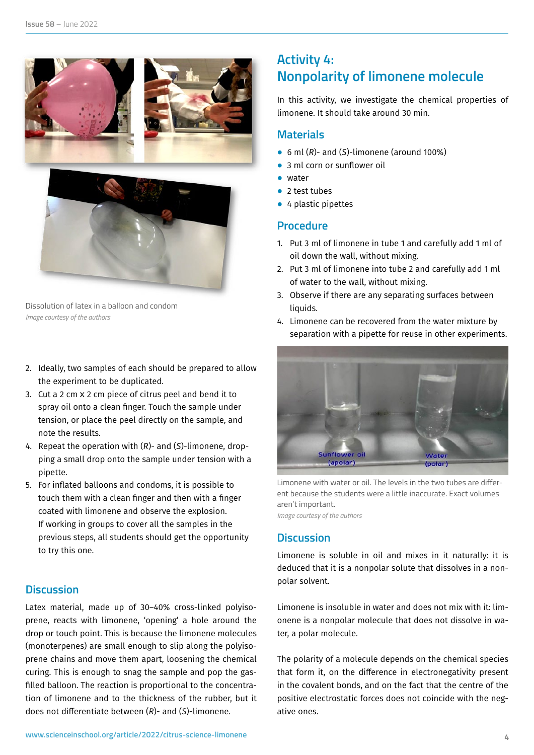



Dissolution of latex in a balloon and condom *Image courtesy of the authors*

- 2. Ideally, two samples of each should be prepared to allow the experiment to be duplicated.
- 3. Cut a 2 cm X 2 cm piece of citrus peel and bend it to spray oil onto a clean finger. Touch the sample under tension, or place the peel directly on the sample, and note the results.
- 4. Repeat the operation with (*R*)- and (*S*)-limonene, dropping a small drop onto the sample under tension with a pipette.
- 5. For inflated balloons and condoms, it is possible to touch them with a clean finger and then with a finger coated with limonene and observe the explosion. If working in groups to cover all the samples in the previous steps, all students should get the opportunity to try this one.

#### **Discussion**

Latex material, made up of 30–40% cross-linked polyisoprene, reacts with limonene, 'opening' a hole around the drop or touch point. This is because the limonene molecules (monoterpenes) are small enough to slip along the polyisoprene chains and move them apart, loosening the chemical curing. This is enough to snag the sample and pop the gasfilled balloon. The reaction is proportional to the concentration of limonene and to the thickness of the rubber, but it does not differentiate between (*R*)- and (*S*)-limonene.

# **Activity 4: Nonpolarity of limonene molecule**

In this activity, we investigate the chemical properties of limonene. It should take around 30 min.

#### **Materials**

- ⦁ 6 ml (*R*)- and (*S*)-limonene (around 100%)
- 3 ml corn or sunflower oil
- ⦁ water
- 2 test tubes
- 4 plastic pipettes

#### **Procedure**

- 1. Put 3 ml of limonene in tube 1 and carefully add 1 ml of oil down the wall, without mixing.
- 2. Put 3 ml of limonene into tube 2 and carefully add 1 ml of water to the wall, without mixing.
- 3. Observe if there are any separating surfaces between liquids.
- 4. Limonene can be recovered from the water mixture by separation with a pipette for reuse in other experiments.



Limonene with water or oil. The levels in the two tubes are different because the students were a little inaccurate. Exact volumes aren't important. *Image courtesy of the authors*

#### **Discussion**

Limonene is soluble in oil and mixes in it naturally: it is deduced that it is a nonpolar solute that dissolves in a nonpolar solvent.

Limonene is insoluble in water and does not mix with it: limonene is a nonpolar molecule that does not dissolve in water, a polar molecule.

The polarity of a molecule depends on the chemical species that form it, on the difference in electronegativity present in the covalent bonds, and on the fact that the centre of the positive electrostatic forces does not coincide with the negative ones.